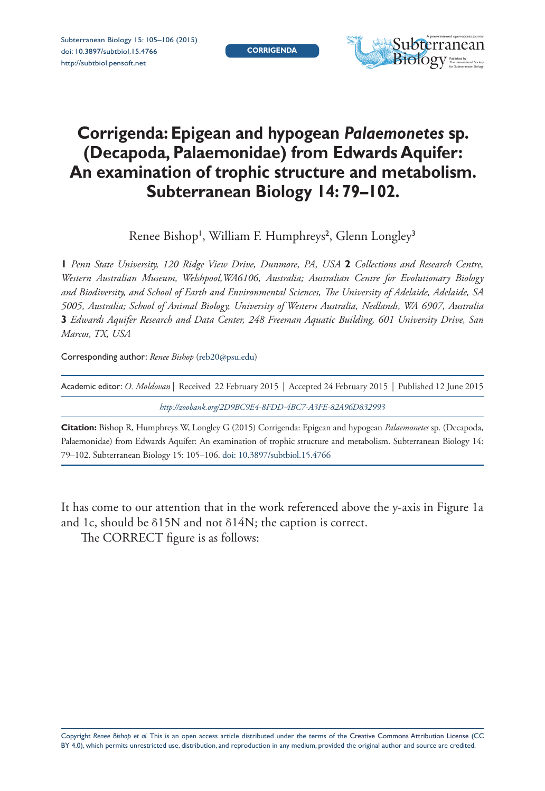Subterranean Biology 15: 105–106 (2015) [doi: 10.3897/subtbiol.15.4766](http://dx.doi.org/10.3897/subtbiol.15.4766) <http://subtbiol.pensoft.net>



## **Corrigenda: Epigean and hypogean** *Palaemonetes* **sp. (Decapoda, Palaemonidae) from Edwards Aquifer: An examination of trophic structure and metabolism. Subterranean Biology 14: 79–102.**

Renee Bishop', William F. Humphreys<sup>2</sup>, Glenn Longley<sup>3</sup>

**1** *Penn State University, 120 Ridge View Drive, Dunmore, PA, USA* **2** *Collections and Research Centre, Western Australian Museum, Welshpool,WA6106, Australia; Australian Centre for Evolutionary Biology and Biodiversity, and School of Earth and Environmental Sciences, The University of Adelaide, Adelaide, SA 5005, Australia; School of Animal Biology, University of Western Australia, Nedlands, WA 6907, Australia*  **3** *Edwards Aquifer Research and Data Center, 248 Freeman Aquatic Building, 601 University Drive, San Marcos, TX, USA*

Corresponding author: *Renee Bishop* ([reb20@psu.edu](mailto:reb20@psu.edu))

| Academic editor: O. Moldovan   Received 22 February 2015   Accepted 24 February 2015   Published 12 June 2015 |
|---------------------------------------------------------------------------------------------------------------|
| http://zoobank.org/2D9BC9E4-8FDD-4BC7-A3FE-82A96D832993                                                       |

**Citation:** Bishop R, Humphreys W, Longley G (2015) Corrigenda: Epigean and hypogean *Palaemonetes* sp. (Decapoda, Palaemonidae) from Edwards Aquifer: An examination of trophic structure and metabolism. Subterranean Biology 14: 79–102. Subterranean Biology 15: 105–106. [doi: 10.3897/subtbiol.15.4766](http://dx.doi.org/10.3897/subtbiol.15.4766)

It has come to our attention that in the work referenced above the y-axis in Figure 1a and 1c, should be δ15N and not δ14N; the caption is correct.

The CORRECT figure is as follows: